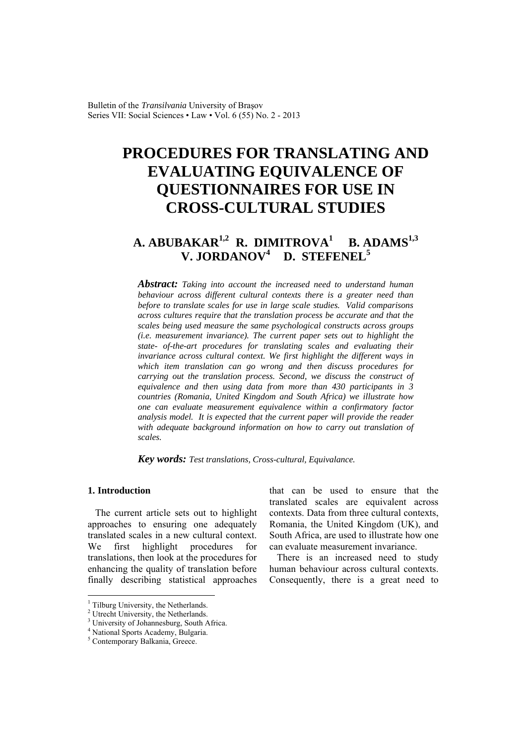Bulletin of the *Transilvania* University of Braşov Series VII: Social Sciences • Law • Vol. 6 (55) No. 2 - 2013

# **PROCEDURES FOR TRANSLATING AND EVALUATING EQUIVALENCE OF QUESTIONNAIRES FOR USE IN CROSS-CULTURAL STUDIES**

# **A. ABUBAKAR1,2 R. DIMITROVA1 B. ADAMS1,3 V. JORDANOV<sup>4</sup> D. STEFENEL<sup>5</sup>**

*Abstract: Taking into account the increased need to understand human behaviour across different cultural contexts there is a greater need than before to translate scales for use in large scale studies. Valid comparisons across cultures require that the translation process be accurate and that the scales being used measure the same psychological constructs across groups (i.e. measurement invariance). The current paper sets out to highlight the state- of-the-art procedures for translating scales and evaluating their invariance across cultural context. We first highlight the different ways in which item translation can go wrong and then discuss procedures for carrying out the translation process. Second, we discuss the construct of equivalence and then using data from more than 430 participants in 3 countries (Romania, United Kingdom and South Africa) we illustrate how one can evaluate measurement equivalence within a confirmatory factor analysis model. It is expected that the current paper will provide the reader with adequate background information on how to carry out translation of scales.*

*Key words: Test translations, Cross-cultural, Equivalance.*

#### **1. Introduction**

 $\overline{a}$ 

The current article sets out to highlight approaches to ensuring one adequately translated scales in a new cultural context. We first highlight procedures for translations, then look at the procedures for enhancing the quality of translation before finally describing statistical approaches

that can be used to ensure that the translated scales are equivalent across contexts. Data from three cultural contexts, Romania, the United Kingdom (UK), and South Africa, are used to illustrate how one can evaluate measurement invariance.

There is an increased need to study human behaviour across cultural contexts. Consequently, there is a great need to

<sup>&</sup>lt;sup>1</sup> Tilburg University, the Netherlands.

<sup>2</sup> Utrecht University, the Netherlands.

<sup>&</sup>lt;sup>3</sup> University of Johannesburg, South Africa.

<sup>4</sup> National Sports Academy, Bulgaria.

<sup>5</sup> Contemporary Balkania, Greece.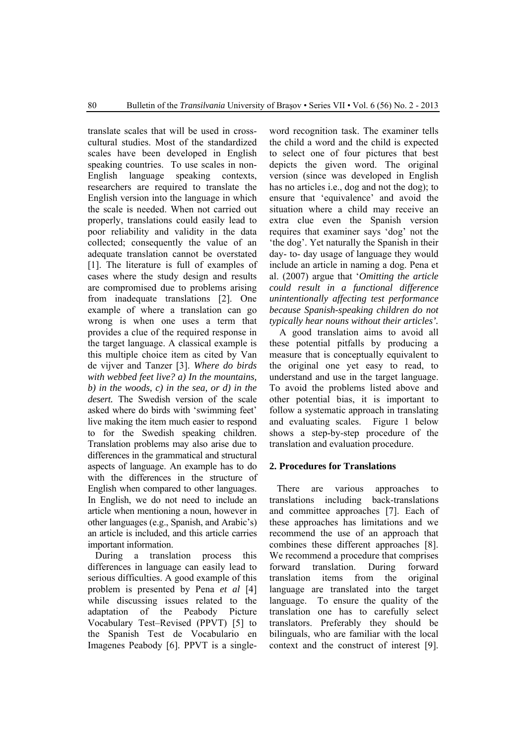translate scales that will be used in crosscultural studies. Most of the standardized scales have been developed in English speaking countries. To use scales in non-English language speaking contexts, researchers are required to translate the English version into the language in which the scale is needed. When not carried out properly, translations could easily lead to poor reliability and validity in the data collected; consequently the value of an adequate translation cannot be overstated [1]. The literature is full of examples of cases where the study design and results are compromised due to problems arising from inadequate translations [2]. One example of where a translation can go wrong is when one uses a term that provides a clue of the required response in the target language. A classical example is this multiple choice item as cited by Van de vijver and Tanzer [3]. *Where do birds with webbed feet live? a) In the mountains, b) in the woods, c) in the sea, or d) in the desert.* The Swedish version of the scale asked where do birds with 'swimming feet' live making the item much easier to respond to for the Swedish speaking children. Translation problems may also arise due to differences in the grammatical and structural aspects of language. An example has to do with the differences in the structure of English when compared to other languages. In English, we do not need to include an article when mentioning a noun, however in other languages (e.g., Spanish, and Arabic's) an article is included, and this article carries important information.

During a translation process this differences in language can easily lead to serious difficulties. A good example of this problem is presented by Pena *et al* [4] while discussing issues related to the adaptation of the Peabody Picture Vocabulary Test–Revised (PPVT) [5] to the Spanish Test de Vocabulario en Imagenes Peabody [6]. PPVT is a single-

word recognition task. The examiner tells the child a word and the child is expected to select one of four pictures that best depicts the given word. The original version (since was developed in English has no articles i.e., dog and not the dog); to ensure that 'equivalence' and avoid the situation where a child may receive an extra clue even the Spanish version requires that examiner says 'dog' not the 'the dog'. Yet naturally the Spanish in their day- to- day usage of language they would include an article in naming a dog. Pena et al. (2007) argue that '*Omitting the article could result in a functional difference unintentionally affecting test performance because Spanish-speaking children do not typically hear nouns without their articles'.*

A good translation aims to avoid all these potential pitfalls by producing a measure that is conceptually equivalent to the original one yet easy to read, to understand and use in the target language. To avoid the problems listed above and other potential bias, it is important to follow a systematic approach in translating and evaluating scales. Figure 1 below shows a step-by-step procedure of the translation and evaluation procedure.

# **2. Procedures for Translations**

There are various approaches translations including back-translations and committee approaches [7]. Each of these approaches has limitations and we recommend the use of an approach that combines these different approaches [8]. We recommend a procedure that comprises forward translation. During forward translation items from the original language are translated into the target language. To ensure the quality of the translation one has to carefully select translators. Preferably they should be bilinguals, who are familiar with the local context and the construct of interest [9].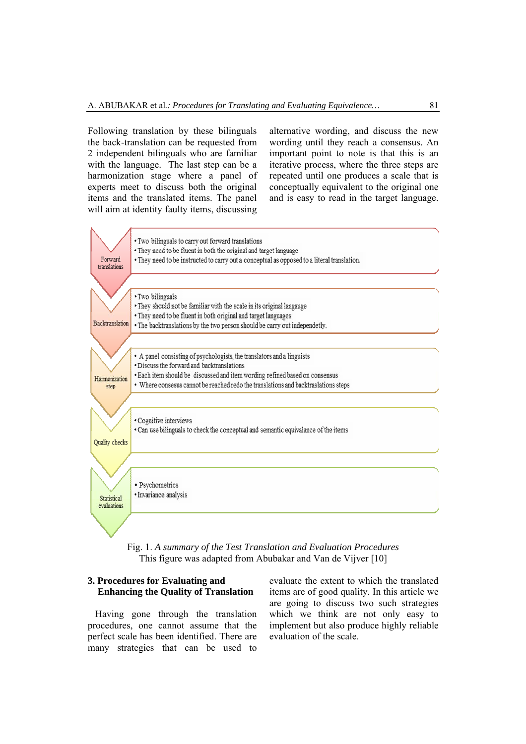Following translation by these bilinguals the back-translation can be requested from 2 independent bilinguals who are familiar with the language. The last step can be a harmonization stage where a panel of experts meet to discuss both the original items and the translated items. The panel will aim at identity faulty items, discussing

alternative wording, and discuss the new wording until they reach a consensus. An important point to note is that this is an iterative process, where the three steps are repeated until one produces a scale that is conceptually equivalent to the original one and is easy to read in the target language.



Fig. 1. *A summary of the Test Translation and Evaluation Procedures* This figure was adapted from Abubakar and Van de Vijver [10]

# **3. Procedures for Evaluating and Enhancing the Quality of Translation**

Having gone through the translation procedures, one cannot assume that the perfect scale has been identified. There are many strategies that can be used to

evaluate the extent to which the translated items are of good quality. In this article we are going to discuss two such strategies which we think are not only easy to implement but also produce highly reliable evaluation of the scale.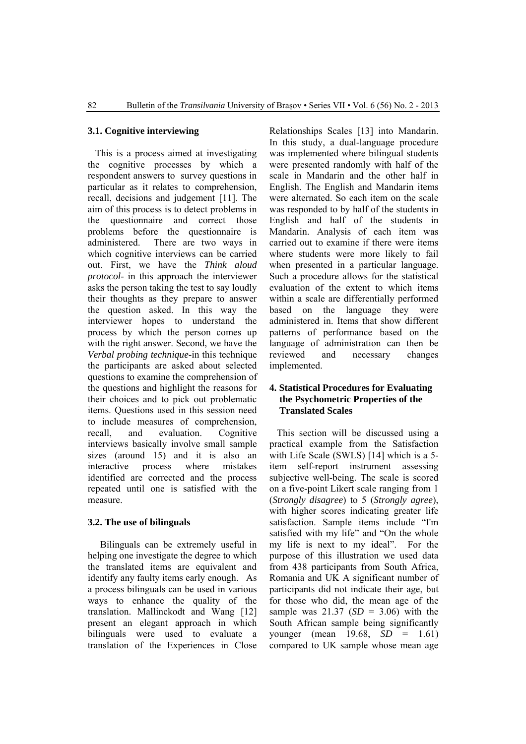# **3.1. Cognitive interviewing**

This is a process aimed at investigating the cognitive processes by which a respondent answers to survey questions in particular as it relates to comprehension, recall, decisions and judgement [11]. The aim of this process is to detect problems in the questionnaire and correct those problems before the questionnaire is administered. There are two ways in which cognitive interviews can be carried out. First, we have the *Think aloud protocol*- in this approach the interviewer asks the person taking the test to say loudly their thoughts as they prepare to answer the question asked. In this way the interviewer hopes to understand the process by which the person comes up with the right answer. Second, we have the *Verbal probing technique*-in this technique the participants are asked about selected questions to examine the comprehension of the questions and highlight the reasons for their choices and to pick out problematic items. Questions used in this session need to include measures of comprehension, recall, and evaluation. Cognitive interviews basically involve small sample sizes (around 15) and it is also an interactive process where mistakes identified are corrected and the process repeated until one is satisfied with the measure.

# **3.2. The use of bilinguals**

Bilinguals can be extremely useful in helping one investigate the degree to which the translated items are equivalent and identify any faulty items early enough. As a process bilinguals can be used in various ways to enhance the quality of the translation. Mallinckodt and Wang [12] present an elegant approach in which bilinguals were used to evaluate a translation of the Experiences in Close

Relationships Scales [13] into Mandarin. In this study, a dual-language procedure was implemented where bilingual students were presented randomly with half of the scale in Mandarin and the other half in English. The English and Mandarin items were alternated. So each item on the scale was responded to by half of the students in English and half of the students in Mandarin. Analysis of each item was carried out to examine if there were items where students were more likely to fail when presented in a particular language. Such a procedure allows for the statistical evaluation of the extent to which items within a scale are differentially performed based on the language they were administered in. Items that show different patterns of performance based on the language of administration can then be reviewed and necessary changes implemented.

# **4. Statistical Procedures for Evaluating the Psychometric Properties of the Translated Scales**

This section will be discussed using a practical example from the Satisfaction with Life Scale (SWLS) [14] which is a 5item self-report instrument assessing subjective well-being. The scale is scored on a five-point Likert scale ranging from 1 (*Strongly disagree*) to 5 (*Strongly agree*), with higher scores indicating greater life satisfaction. Sample items include "I'm satisfied with my life" and "On the whole my life is next to my ideal". For the purpose of this illustration we used data from 438 participants from South Africa, Romania and UK A significant number of participants did not indicate their age, but for those who did, the mean age of the sample was 21.37 (*SD* = 3.06) with the South African sample being significantly younger (mean 19.68, *SD* = 1.61) compared to UK sample whose mean age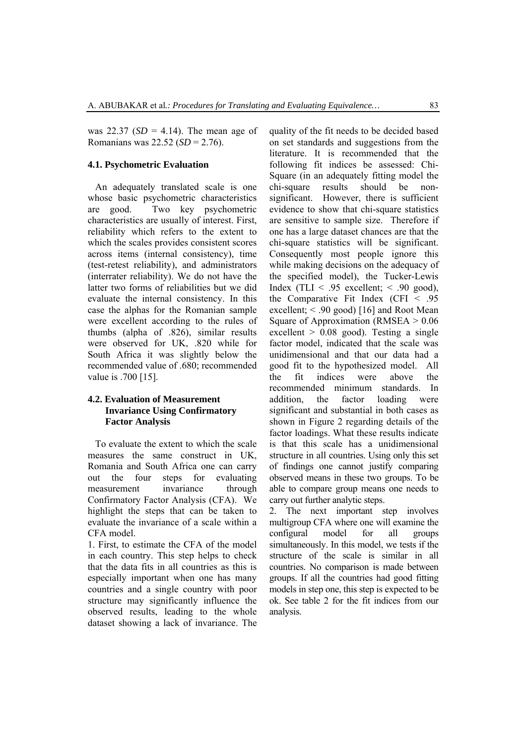was  $22.37$  ( $SD = 4.14$ ). The mean age of Romanians was 22.52 (*SD* = 2.76).

### **4.1. Psychometric Evaluation**

An adequately translated scale is one whose basic psychometric characteristics are good. Two key psychometric characteristics are usually of interest. First, reliability which refers to the extent to which the scales provides consistent scores across items (internal consistency), time (test-retest reliability), and administrators (interrater reliability). We do not have the latter two forms of reliabilities but we did evaluate the internal consistency. In this case the alphas for the Romanian sample were excellent according to the rules of thumbs (alpha of .826), similar results were observed for UK, .820 while for South Africa it was slightly below the recommended value of .680; recommended value is .700 [15].

# **4.2. Evaluation of Measurement Invariance Using Confirmatory Factor Analysis**

To evaluate the extent to which the scale measures the same construct in UK, Romania and South Africa one can carry out the four steps for evaluating measurement invariance through Confirmatory Factor Analysis (CFA). We highlight the steps that can be taken to evaluate the invariance of a scale within a CFA model.

1. First, to estimate the CFA of the model in each country. This step helps to check that the data fits in all countries as this is especially important when one has many countries and a single country with poor structure may significantly influence the observed results, leading to the whole dataset showing a lack of invariance. The

quality of the fit needs to be decided based on set standards and suggestions from the literature. It is recommended that the following fit indices be assessed: Chi-Square (in an adequately fitting model the chi-square results should be nonsignificant. However, there is sufficient evidence to show that chi-square statistics are sensitive to sample size. Therefore if one has a large dataset chances are that the chi-square statistics will be significant. Consequently most people ignore this while making decisions on the adequacy of the specified model), the Tucker-Lewis Index (TLI  $\leq$  .95 excellent;  $\leq$  .90 good), the Comparative Fit Index (CFI  $\leq$  .95 excellent; < .90 good) [16] and Root Mean Square of Approximation (RMSEA  $> 0.06$ ) excellent  $> 0.08$  good). Testing a single factor model, indicated that the scale was unidimensional and that our data had a good fit to the hypothesized model. All the fit indices were above the recommended minimum standards. In addition, the factor loading were significant and substantial in both cases as shown in Figure 2 regarding details of the factor loadings. What these results indicate is that this scale has a unidimensional structure in all countries. Using only this set of findings one cannot justify comparing observed means in these two groups. To be able to compare group means one needs to carry out further analytic steps.

2. The next important step involves multigroup CFA where one will examine the configural model for all groups simultaneously. In this model, we tests if the structure of the scale is similar in all countries. No comparison is made between groups. If all the countries had good fitting models in step one, this step is expected to be ok. See table 2 for the fit indices from our analysis.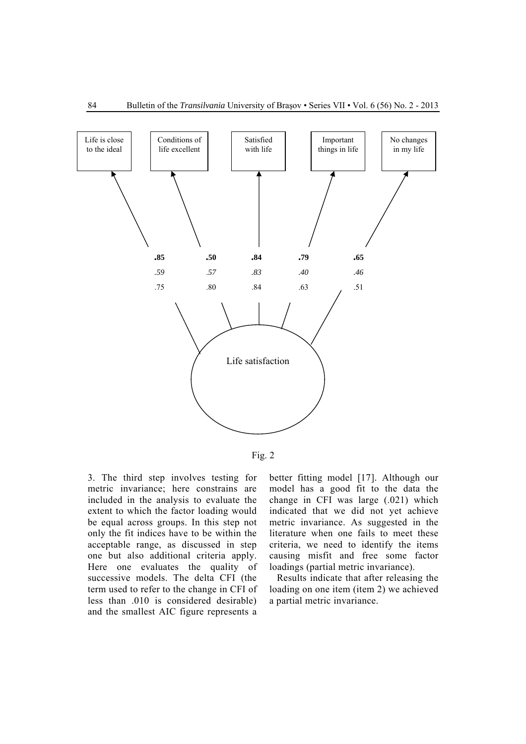



3. The third step involves testing for metric invariance; here constrains are included in the analysis to evaluate the extent to which the factor loading would be equal across groups. In this step not only the fit indices have to be within the acceptable range, as discussed in step one but also additional criteria apply. Here one evaluates the quality of successive models. The delta CFI (the term used to refer to the change in CFI of less than .010 is considered desirable) and the smallest AIC figure represents a

better fitting model [17]. Although our model has a good fit to the data the change in CFI was large (.021) which indicated that we did not yet achieve metric invariance. As suggested in the literature when one fails to meet these criteria, we need to identify the items causing misfit and free some factor loadings (partial metric invariance).

Results indicate that after releasing the loading on one item (item 2) we achieved a partial metric invariance.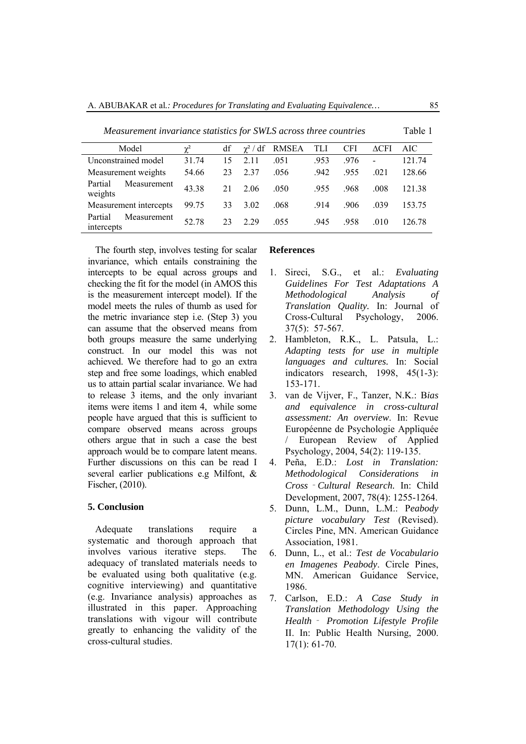| Model                                | $\mathbf{v}^2$ | df | $\chi^2$ / df | <b>RMSEA</b> | TLI  | <b>CFI</b> | $\Delta$ CFI   | AIC    |
|--------------------------------------|----------------|----|---------------|--------------|------|------------|----------------|--------|
| Unconstrained model                  | 31.74          | 15 | 2.11          | .051         | .953 | .976       | $\overline{a}$ | 121.74 |
| Measurement weights                  | 54.66          | 23 | 2.37          | .056         | .942 | .955       | .021           | 128.66 |
| Partial<br>Measurement<br>weights    | 43.38          | 21 | 2.06          | .050         | .955 | .968       | .008           | 121.38 |
| Measurement intercepts               | 99.75          | 33 | 3.02          | .068         | .914 | .906       | .039           | 153.75 |
| Measurement<br>Partial<br>intercepts | 52.78          | 23 | 2.29          | .055         | .945 | .958       | .010           | 126 78 |

*Measurement invariance statistics for SWLS across three countries* Table 1

The fourth step, involves testing for scalar invariance, which entails constraining the intercepts to be equal across groups and checking the fit for the model (in AMOS this is the measurement intercept model). If the model meets the rules of thumb as used for the metric invariance step i.e. (Step 3) you can assume that the observed means from both groups measure the same underlying construct. In our model this was not achieved. We therefore had to go an extra step and free some loadings, which enabled us to attain partial scalar invariance. We had to release 3 items, and the only invariant items were items 1 and item 4, while some people have argued that this is sufficient to compare observed means across groups others argue that in such a case the best approach would be to compare latent means. Further discussions on this can be read I several earlier publications e.g Milfont, & Fischer, (2010).

# **5. Conclusion**

Adequate translations require a systematic and thorough approach that involves various iterative steps. The adequacy of translated materials needs to be evaluated using both qualitative (e.g. cognitive interviewing) and quantitative (e.g. Invariance analysis) approaches as illustrated in this paper. Approaching translations with vigour will contribute greatly to enhancing the validity of the cross-cultural studies.

### **References**

- 1. Sireci, S.G., et al.: *Evaluating Guidelines For Test Adaptations A Methodological Analysis of Translation Quality.* In: Journal of Cross-Cultural Psychology, 2006. 37(5): 57-567.
- 2. Hambleton, R.K., L. Patsula, L.: *Adapting tests for use in multiple languages and cultures.* In: Social indicators research, 1998, 45(1-3): 153-171.
- 3. van de Vijver, F., Tanzer, N.K.: B*ias and equivalence in cross-cultural assessment: An overview*. In: Revue Européenne de Psychologie Appliquée / European Review of Applied Psychology, 2004, 54(2): 119-135.
- 4. Peña, E.D.: *Lost in Translation: Methodological Considerations in Cross*‐*Cultural Research.* In: Child Development, 2007, 78(4): 1255-1264.
- 5. Dunn, L.M., Dunn, L.M.: P*eabody picture vocabulary Test* (Revised). Circles Pine, MN. American Guidance Association, 1981.
- 6. Dunn, L., et al.: *Test de Vocabulario en Imagenes Peabody*. Circle Pines, MN. American Guidance Service, 1986.
- 7. Carlson, E.D.: *A Case Study in Translation Methodology Using the Health*‐ *Promotion Lifestyle Profile*  II. In: Public Health Nursing, 2000. 17(1): 61-70.